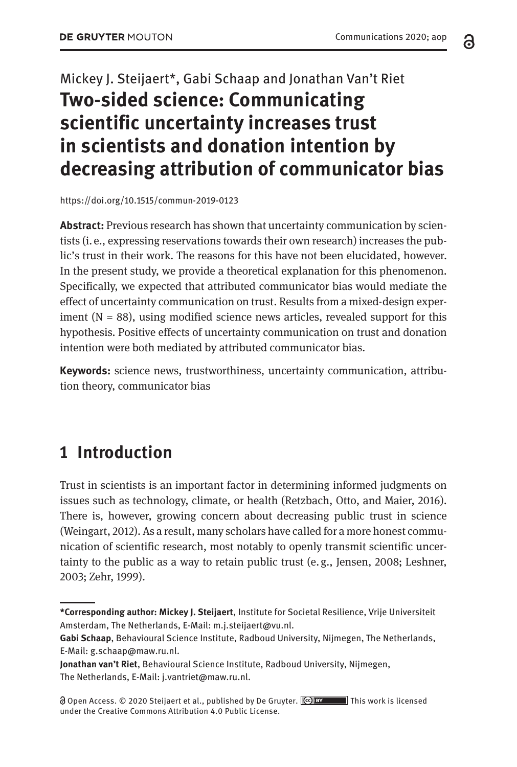# Mickey J. Steijaert\*, Gabi Schaap and Jonathan Van't Riet **Two-sided science: Communicating scientific uncertainty increases trust in scientists and donation intention by decreasing attribution of communicator bias**

<https://doi.org/10.1515/commun-2019-0123>

**Abstract:** Previous research has shown that uncertainty communication by scientists (i. e., expressing reservations towards their own research) increases the public's trust in their work. The reasons for this have not been elucidated, however. In the present study, we provide a theoretical explanation for this phenomenon. Specifically, we expected that attributed communicator bias would mediate the effect of uncertainty communication on trust. Results from a mixed-design experiment  $(N = 88)$ , using modified science news articles, revealed support for this hypothesis. Positive effects of uncertainty communication on trust and donation intention were both mediated by attributed communicator bias.

**Keywords:** science news, trustworthiness, uncertainty communication, attribution theory, communicator bias

# **1 Introduction**

Trust in scientists is an important factor in determining informed judgments on issues such as technology, climate, or health (Retzbach, Otto, and Maier, 2016). There is, however, growing concern about decreasing public trust in science (Weingart, 2012). As a result, many scholars have called for a more honest communication of scientific research, most notably to openly transmit scientific uncertainty to the public as a way to retain public trust (e. g., Jensen, 2008; Leshner, 2003; Zehr, 1999).

**Jonathan van't Riet**, Behavioural Science Institute, Radboud University, Nijmegen, The Netherlands, E-Mail: [j.vantriet@maw.ru.nl.](mailto:j.vantriet@maw.ru.nl)

 Open Access. © 2020 Steijaert et al., published by De Gruyter. This work is licensed under the Creative Commons Attribution 4.0 Public License.

a

**<sup>\*</sup>Corresponding author: Mickey J. Steijaert**, Institute for Societal Resilience, Vrije Universiteit Amsterdam, The Netherlands, E-Mail: [m.j.steijaert@vu.nl.](mailto:m.j.steijaert@vu.nl)

**Gabi Schaap**, Behavioural Science Institute, Radboud University, Nijmegen, The Netherlands, E-Mail: [g.schaap@maw.ru.nl](mailto:g.schaap@maw.ru.nl).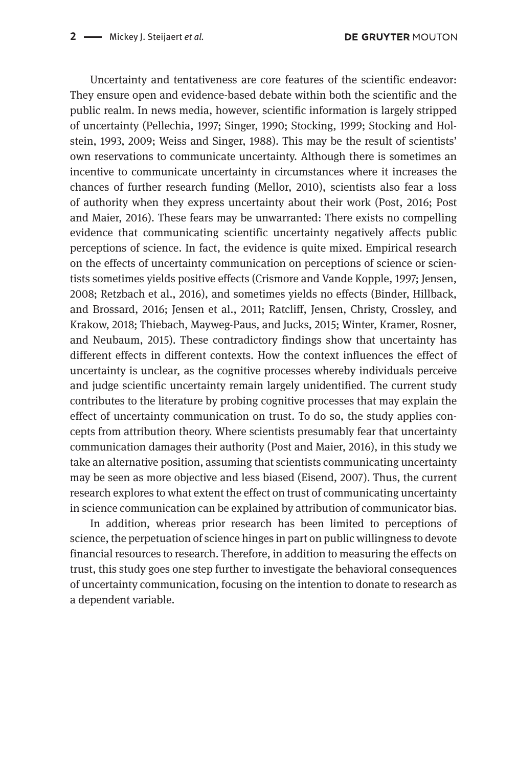Uncertainty and tentativeness are core features of the scientific endeavor: They ensure open and evidence-based debate within both the scientific and the public realm. In news media, however, scientific information is largely stripped of uncertainty (Pellechia, 1997; Singer, 1990; Stocking, 1999; Stocking and Holstein, 1993, 2009; Weiss and Singer, 1988). This may be the result of scientists' own reservations to communicate uncertainty. Although there is sometimes an incentive to communicate uncertainty in circumstances where it increases the chances of further research funding (Mellor, 2010), scientists also fear a loss of authority when they express uncertainty about their work (Post, 2016; Post and Maier, 2016). These fears may be unwarranted: There exists no compelling evidence that communicating scientific uncertainty negatively affects public perceptions of science. In fact, the evidence is quite mixed. Empirical research on the effects of uncertainty communication on perceptions of science or scientists sometimes yields positive effects (Crismore and Vande Kopple, 1997; Jensen, 2008; Retzbach et al., 2016), and sometimes yields no effects (Binder, Hillback, and Brossard, 2016; Jensen et al., 2011; Ratcliff, Jensen, Christy, Crossley, and Krakow, 2018; Thiebach, Mayweg-Paus, and Jucks, 2015; Winter, Kramer, Rosner, and Neubaum, 2015). These contradictory findings show that uncertainty has different effects in different contexts. How the context influences the effect of uncertainty is unclear, as the cognitive processes whereby individuals perceive and judge scientific uncertainty remain largely unidentified. The current study contributes to the literature by probing cognitive processes that may explain the effect of uncertainty communication on trust. To do so, the study applies concepts from attribution theory. Where scientists presumably fear that uncertainty communication damages their authority (Post and Maier, 2016), in this study we take an alternative position, assuming that scientists communicating uncertainty may be seen as more objective and less biased (Eisend, 2007). Thus, the current research explores to what extent the effect on trust of communicating uncertainty in science communication can be explained by attribution of communicator bias.

In addition, whereas prior research has been limited to perceptions of science, the perpetuation of science hinges in part on public willingness to devote financial resources to research. Therefore, in addition to measuring the effects on trust, this study goes one step further to investigate the behavioral consequences of uncertainty communication, focusing on the intention to donate to research as a dependent variable.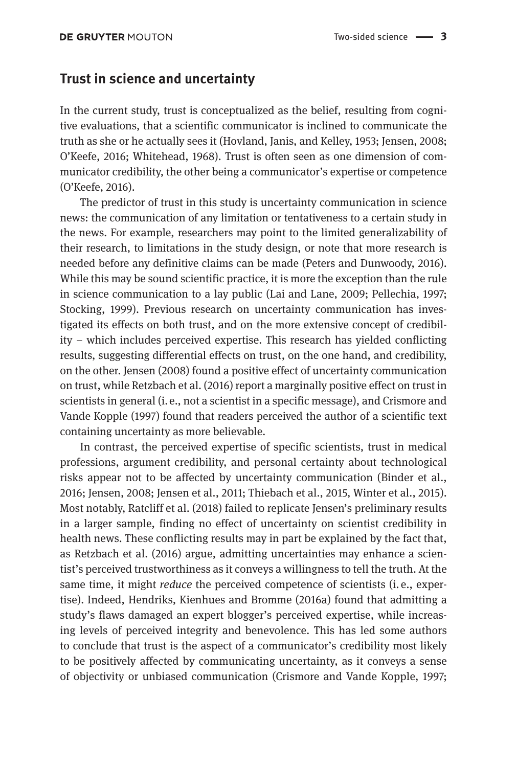#### **Trust in science and uncertainty**

In the current study, trust is conceptualized as the belief, resulting from cognitive evaluations, that a scientific communicator is inclined to communicate the truth as she or he actually sees it (Hovland, Janis, and Kelley, 1953; Jensen, 2008; O'Keefe, 2016; Whitehead, 1968). Trust is often seen as one dimension of communicator credibility, the other being a communicator's expertise or competence (O'Keefe, 2016).

The predictor of trust in this study is uncertainty communication in science news: the communication of any limitation or tentativeness to a certain study in the news. For example, researchers may point to the limited generalizability of their research, to limitations in the study design, or note that more research is needed before any definitive claims can be made (Peters and Dunwoody, 2016). While this may be sound scientific practice, it is more the exception than the rule in science communication to a lay public (Lai and Lane, 2009; Pellechia, 1997; Stocking, 1999). Previous research on uncertainty communication has investigated its effects on both trust, and on the more extensive concept of credibility – which includes perceived expertise. This research has yielded conflicting results, suggesting differential effects on trust, on the one hand, and credibility, on the other. Jensen (2008) found a positive effect of uncertainty communication on trust, while Retzbach et al. (2016) report a marginally positive effect on trust in scientists in general (i. e., not a scientist in a specific message), and Crismore and Vande Kopple (1997) found that readers perceived the author of a scientific text containing uncertainty as more believable.

In contrast, the perceived expertise of specific scientists, trust in medical professions, argument credibility, and personal certainty about technological risks appear not to be affected by uncertainty communication (Binder et al., 2016; Jensen, 2008; Jensen et al., 2011; Thiebach et al., 2015, Winter et al., 2015). Most notably, Ratcliff et al. (2018) failed to replicate Jensen's preliminary results in a larger sample, finding no effect of uncertainty on scientist credibility in health news. These conflicting results may in part be explained by the fact that, as Retzbach et al. (2016) argue, admitting uncertainties may enhance a scientist's perceived trustworthiness as it conveys a willingness to tell the truth. At the same time, it might *reduce* the perceived competence of scientists (i.e., expertise). Indeed, Hendriks, Kienhues and Bromme (2016a) found that admitting a study's flaws damaged an expert blogger's perceived expertise, while increasing levels of perceived integrity and benevolence. This has led some authors to conclude that trust is the aspect of a communicator's credibility most likely to be positively affected by communicating uncertainty, as it conveys a sense of objectivity or unbiased communication (Crismore and Vande Kopple, 1997;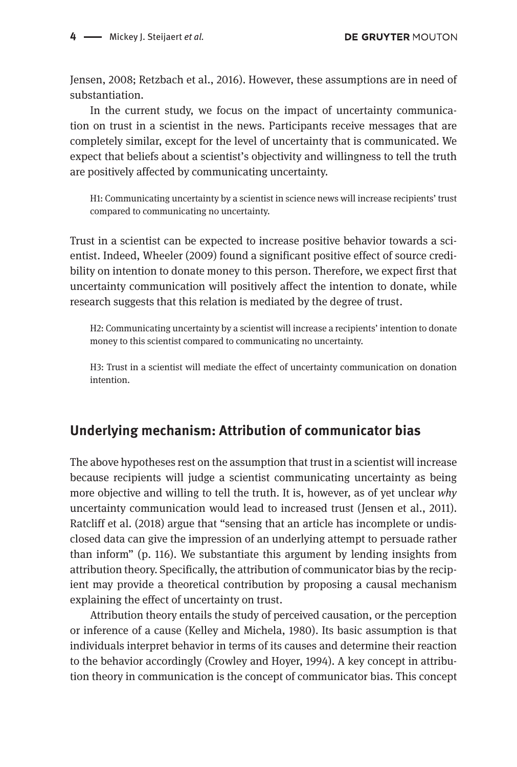Jensen, 2008; Retzbach et al., 2016). However, these assumptions are in need of substantiation.

In the current study, we focus on the impact of uncertainty communication on trust in a scientist in the news. Participants receive messages that are completely similar, except for the level of uncertainty that is communicated. We expect that beliefs about a scientist's objectivity and willingness to tell the truth are positively affected by communicating uncertainty.

H1: Communicating uncertainty by a scientist in science news will increase recipients' trust compared to communicating no uncertainty.

Trust in a scientist can be expected to increase positive behavior towards a scientist. Indeed, Wheeler (2009) found a significant positive effect of source credibility on intention to donate money to this person. Therefore, we expect first that uncertainty communication will positively affect the intention to donate, while research suggests that this relation is mediated by the degree of trust.

H2: Communicating uncertainty by a scientist will increase a recipients' intention to donate money to this scientist compared to communicating no uncertainty.

H3: Trust in a scientist will mediate the effect of uncertainty communication on donation intention.

### **Underlying mechanism: Attribution of communicator bias**

The above hypotheses rest on the assumption that trust in a scientist will increase because recipients will judge a scientist communicating uncertainty as being more objective and willing to tell the truth. It is, however, as of yet unclear *why* uncertainty communication would lead to increased trust (Jensen et al., 2011). Ratcliff et al. (2018) argue that "sensing that an article has incomplete or undisclosed data can give the impression of an underlying attempt to persuade rather than inform" (p. 116). We substantiate this argument by lending insights from attribution theory. Specifically, the attribution of communicator bias by the recipient may provide a theoretical contribution by proposing a causal mechanism explaining the effect of uncertainty on trust.

Attribution theory entails the study of perceived causation, or the perception or inference of a cause (Kelley and Michela, 1980). Its basic assumption is that individuals interpret behavior in terms of its causes and determine their reaction to the behavior accordingly (Crowley and Hoyer, 1994). A key concept in attribution theory in communication is the concept of communicator bias. This concept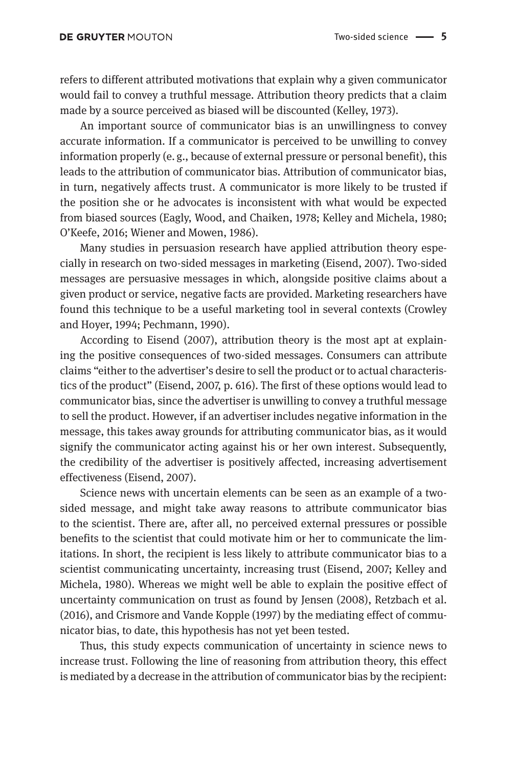refers to different attributed motivations that explain why a given communicator would fail to convey a truthful message. Attribution theory predicts that a claim made by a source perceived as biased will be discounted (Kelley, 1973).

An important source of communicator bias is an unwillingness to convey accurate information. If a communicator is perceived to be unwilling to convey information properly (e. g., because of external pressure or personal benefit), this leads to the attribution of communicator bias. Attribution of communicator bias, in turn, negatively affects trust. A communicator is more likely to be trusted if the position she or he advocates is inconsistent with what would be expected from biased sources (Eagly, Wood, and Chaiken, 1978; Kelley and Michela, 1980; O'Keefe, 2016; Wiener and Mowen, 1986).

Many studies in persuasion research have applied attribution theory especially in research on two-sided messages in marketing (Eisend, 2007). Two-sided messages are persuasive messages in which, alongside positive claims about a given product or service, negative facts are provided. Marketing researchers have found this technique to be a useful marketing tool in several contexts (Crowley and Hoyer, 1994; Pechmann, 1990).

According to Eisend (2007), attribution theory is the most apt at explaining the positive consequences of two-sided messages. Consumers can attribute claims "either to the advertiser's desire to sell the product or to actual characteristics of the product" (Eisend, 2007, p. 616). The first of these options would lead to communicator bias, since the advertiser is unwilling to convey a truthful message to sell the product. However, if an advertiser includes negative information in the message, this takes away grounds for attributing communicator bias, as it would signify the communicator acting against his or her own interest. Subsequently, the credibility of the advertiser is positively affected, increasing advertisement effectiveness (Eisend, 2007).

Science news with uncertain elements can be seen as an example of a twosided message, and might take away reasons to attribute communicator bias to the scientist. There are, after all, no perceived external pressures or possible benefits to the scientist that could motivate him or her to communicate the limitations. In short, the recipient is less likely to attribute communicator bias to a scientist communicating uncertainty, increasing trust (Eisend, 2007; Kelley and Michela, 1980). Whereas we might well be able to explain the positive effect of uncertainty communication on trust as found by Jensen (2008), Retzbach et al. (2016), and Crismore and Vande Kopple (1997) by the mediating effect of communicator bias, to date, this hypothesis has not yet been tested.

Thus, this study expects communication of uncertainty in science news to increase trust. Following the line of reasoning from attribution theory, this effect is mediated by a decrease in the attribution of communicator bias by the recipient: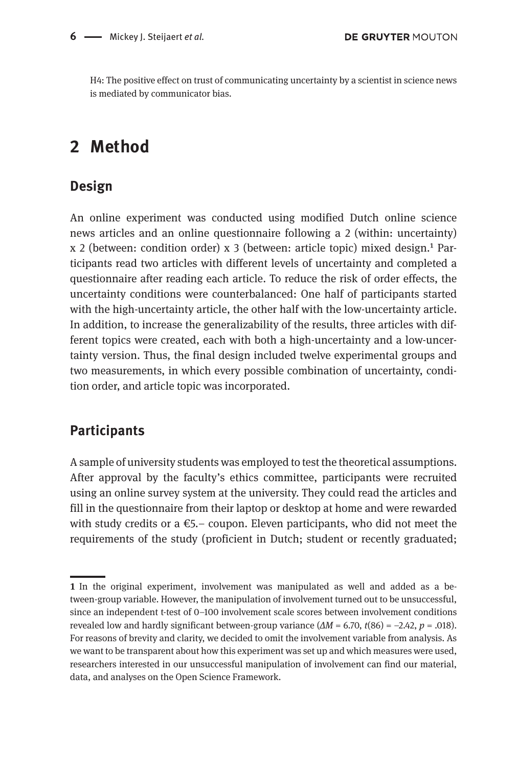H4: The positive effect on trust of communicating uncertainty by a scientist in science news is mediated by communicator bias.

## **2 Method**

#### **Design**

An online experiment was conducted using modified Dutch online science news articles and an online questionnaire following a 2 (within: uncertainty)  $x$  2 (between: condition order)  $x$  3 (between: article topic) mixed design.<sup>1</sup> Participants read two articles with different levels of uncertainty and completed a questionnaire after reading each article. To reduce the risk of order effects, the uncertainty conditions were counterbalanced: One half of participants started with the high-uncertainty article, the other half with the low-uncertainty article. In addition, to increase the generalizability of the results, three articles with different topics were created, each with both a high-uncertainty and a low-uncertainty version. Thus, the final design included twelve experimental groups and two measurements, in which every possible combination of uncertainty, condition order, and article topic was incorporated.

### **Participants**

A sample of university students was employed to test the theoretical assumptions. After approval by the faculty's ethics committee, participants were recruited using an online survey system at the university. They could read the articles and fill in the questionnaire from their laptop or desktop at home and were rewarded with study credits or a  $\epsilon$ 5.– coupon. Eleven participants, who did not meet the requirements of the study (proficient in Dutch; student or recently graduated;

**<sup>1</sup>** In the original experiment, involvement was manipulated as well and added as a between-group variable. However, the manipulation of involvement turned out to be unsuccessful, since an independent t-test of 0–100 involvement scale scores between involvement conditions revealed low and hardly significant between-group variance  $(\Delta M = 6.70, t(86) = -2.42, p = .018)$ . For reasons of brevity and clarity, we decided to omit the involvement variable from analysis. As we want to be transparent about how this experiment was set up and which measures were used, researchers interested in our unsuccessful manipulation of involvement can find our material, data, and analyses on the Open Science Framework.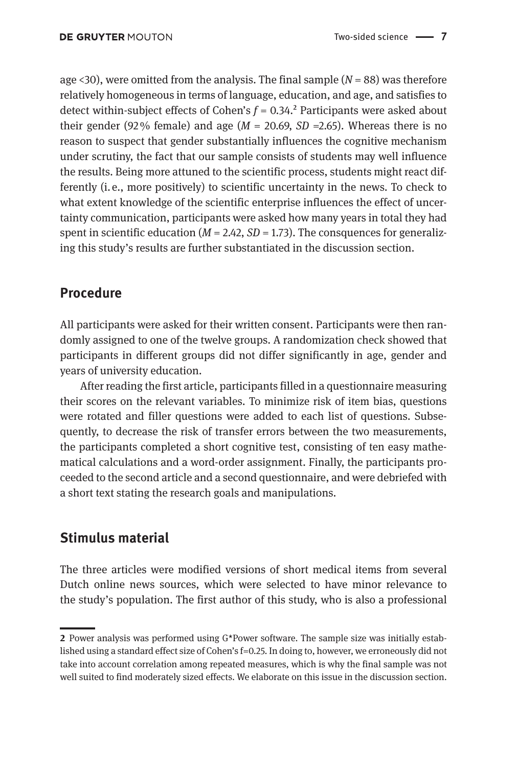age  $\langle 30 \rangle$ , were omitted from the analysis. The final sample ( $N = 88$ ) was therefore relatively homogeneous in terms of language, education, and age, and satisfies to detect within-subject effects of Cohen's  $f = 0.34$ .<sup>2</sup> Participants were asked about their gender (92 $\%$  female) and age ( $M = 20.69$ ,  $SD = 2.65$ ). Whereas there is no reason to suspect that gender substantially influences the cognitive mechanism under scrutiny, the fact that our sample consists of students may well influence the results. Being more attuned to the scientific process, students might react differently (i. e., more positively) to scientific uncertainty in the news. To check to what extent knowledge of the scientific enterprise influences the effect of uncertainty communication, participants were asked how many years in total they had spent in scientific education  $(M = 2.42, SD = 1.73)$ . The consquences for generalizing this study's results are further substantiated in the discussion section.

#### **Procedure**

All participants were asked for their written consent. Participants were then randomly assigned to one of the twelve groups. A randomization check showed that participants in different groups did not differ significantly in age, gender and years of university education.

After reading the first article, participants filled in a questionnaire measuring their scores on the relevant variables. To minimize risk of item bias, questions were rotated and filler questions were added to each list of questions. Subsequently, to decrease the risk of transfer errors between the two measurements, the participants completed a short cognitive test, consisting of ten easy mathematical calculations and a word-order assignment. Finally, the participants proceeded to the second article and a second questionnaire, and were debriefed with a short text stating the research goals and manipulations.

### **Stimulus material**

The three articles were modified versions of short medical items from several Dutch online news sources, which were selected to have minor relevance to the study's population. The first author of this study, who is also a professional

**<sup>2</sup>** Power analysis was performed using G\*Power software. The sample size was initially established using a standard effect size of Cohen's f=0.25. In doing to, however, we erroneously did not take into account correlation among repeated measures, which is why the final sample was not well suited to find moderately sized effects. We elaborate on this issue in the discussion section.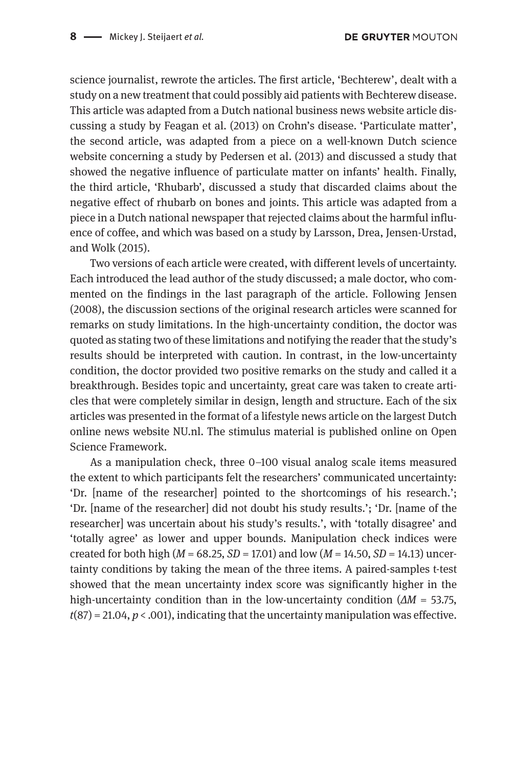science journalist, rewrote the articles. The first article, 'Bechterew', dealt with a study on a new treatment that could possibly aid patients with Bechterew disease. This article was adapted from a Dutch national business news website article discussing a study by Feagan et al. (2013) on Crohn's disease. 'Particulate matter', the second article, was adapted from a piece on a well-known Dutch science website concerning a study by Pedersen et al. (2013) and discussed a study that showed the negative influence of particulate matter on infants' health. Finally, the third article, 'Rhubarb', discussed a study that discarded claims about the negative effect of rhubarb on bones and joints. This article was adapted from a piece in a Dutch national newspaper that rejected claims about the harmful influence of coffee, and which was based on a study by Larsson, Drea, Jensen-Urstad, and Wolk (2015).

Two versions of each article were created, with different levels of uncertainty. Each introduced the lead author of the study discussed; a male doctor, who commented on the findings in the last paragraph of the article. Following Jensen (2008), the discussion sections of the original research articles were scanned for remarks on study limitations. In the high-uncertainty condition, the doctor was quoted as stating two of these limitations and notifying the reader that the study's results should be interpreted with caution. In contrast, in the low-uncertainty condition, the doctor provided two positive remarks on the study and called it a breakthrough. Besides topic and uncertainty, great care was taken to create articles that were completely similar in design, length and structure. Each of the six articles was presented in the format of a lifestyle news article on the largest Dutch online news website NU.nl. The stimulus material is published online on Open Science Framework.

As a manipulation check, three 0–100 visual analog scale items measured the extent to which participants felt the researchers' communicated uncertainty: 'Dr. [name of the researcher] pointed to the shortcomings of his research.'; 'Dr. [name of the researcher] did not doubt his study results.'; 'Dr. [name of the researcher] was uncertain about his study's results.', with 'totally disagree' and 'totally agree' as lower and upper bounds. Manipulation check indices were created for both high (*M* = 68.25, *SD* = 17.01) and low (*M* = 14.50, *SD* = 14.13) uncertainty conditions by taking the mean of the three items. A paired-samples t-test showed that the mean uncertainty index score was significantly higher in the high-uncertainty condition than in the low-uncertainty condition (*ΔM* = 53.75, *t*(87) = 21.04, *p* < .001), indicating that the uncertainty manipulation was effective.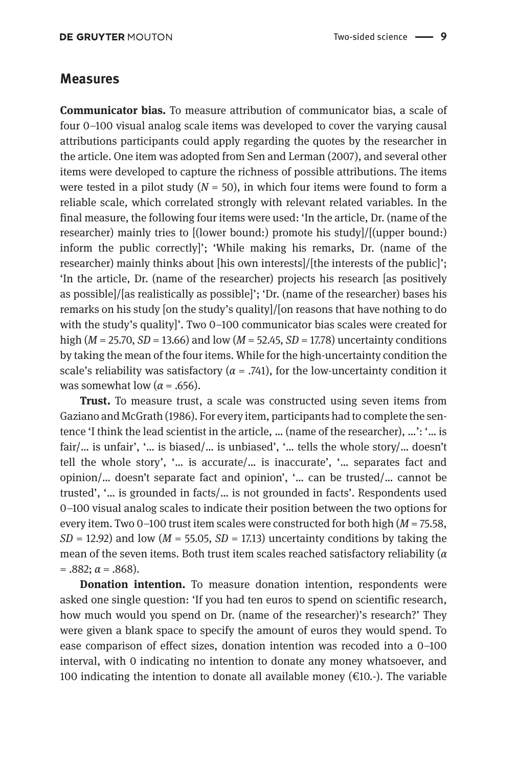#### **Measures**

**Communicator bias.** To measure attribution of communicator bias, a scale of four 0–100 visual analog scale items was developed to cover the varying causal attributions participants could apply regarding the quotes by the researcher in the article. One item was adopted from Sen and Lerman (2007), and several other items were developed to capture the richness of possible attributions. The items were tested in a pilot study  $(N = 50)$ , in which four items were found to form a reliable scale, which correlated strongly with relevant related variables. In the final measure, the following four items were used: 'In the article, Dr. (name of the researcher) mainly tries to [(lower bound:) promote his study]/[(upper bound:) inform the public correctly]'; 'While making his remarks, Dr. (name of the researcher) mainly thinks about [his own interests]/[the interests of the public]'; 'In the article, Dr. (name of the researcher) projects his research [as positively as possible]/[as realistically as possible]'; 'Dr. (name of the researcher) bases his remarks on his study [on the study's quality]/[on reasons that have nothing to do with the study's quality]'. Two 0–100 communicator bias scales were created for high (*M* = 25.70, *SD* = 13.66) and low (*M* = 52.45, *SD* = 17.78) uncertainty conditions by taking the mean of the four items. While for the high-uncertainty condition the scale's reliability was satisfactory ( $\alpha$  = .741), for the low-uncertainty condition it was somewhat low ( $\alpha$  = .656).

**Trust.** To measure trust, a scale was constructed using seven items from Gaziano and McGrath (1986). For every item, participants had to complete the sentence 'I think the lead scientist in the article, … (name of the researcher), …': '… is fair/… is unfair', '… is biased/… is unbiased', '… tells the whole story/… doesn't tell the whole story', '… is accurate/… is inaccurate', '… separates fact and opinion/… doesn't separate fact and opinion', '… can be trusted/… cannot be trusted', '… is grounded in facts/… is not grounded in facts'. Respondents used 0–100 visual analog scales to indicate their position between the two options for every item. Two 0–100 trust item scales were constructed for both high (*M* = 75.58,  $SD = 12.92$ ) and low ( $M = 55.05$ ,  $SD = 17.13$ ) uncertainty conditions by taking the mean of the seven items. Both trust item scales reached satisfactory reliability (*α*   $= .882; \alpha = .868$ ).

**Donation intention.** To measure donation intention, respondents were asked one single question: 'If you had ten euros to spend on scientific research, how much would you spend on Dr. (name of the researcher)'s research?' They were given a blank space to specify the amount of euros they would spend. To ease comparison of effect sizes, donation intention was recoded into a 0–100 interval, with 0 indicating no intention to donate any money whatsoever, and 100 indicating the intention to donate all available money  $(\epsilon 10, \cdot)$ . The variable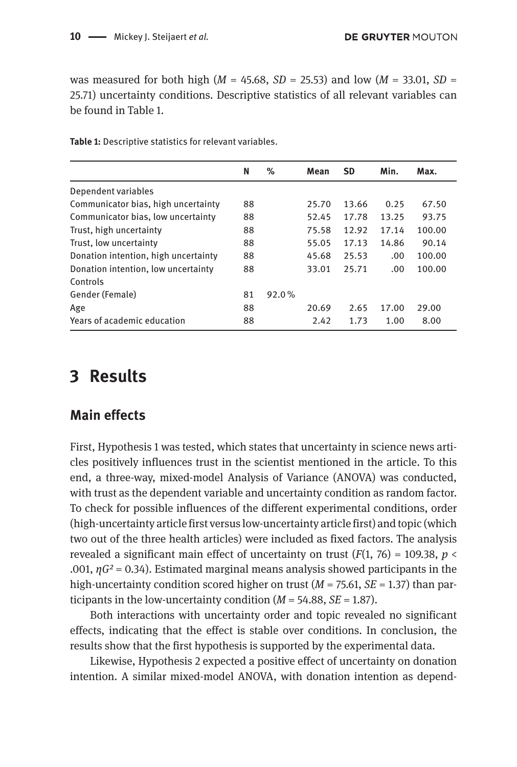was measured for both high ( $M = 45.68$ ,  $SD = 25.53$ ) and low ( $M = 33.01$ ,  $SD =$ 25.71) uncertainty conditions. Descriptive statistics of all relevant variables can be found in Table 1.

| N  | %     | Mean  | <b>SD</b> | Min.  | Max.   |
|----|-------|-------|-----------|-------|--------|
|    |       |       |           |       |        |
| 88 |       | 25.70 | 13.66     | 0.25  | 67.50  |
| 88 |       | 52.45 | 17.78     | 13.25 | 93.75  |
| 88 |       | 75.58 | 12.92     | 17.14 | 100.00 |
| 88 |       | 55.05 | 17.13     | 14.86 | 90.14  |
| 88 |       | 45.68 | 25.53     | .00.  | 100.00 |
| 88 |       | 33.01 | 25.71     | .00   | 100.00 |
|    |       |       |           |       |        |
| 81 | 92.0% |       |           |       |        |
| 88 |       | 20.69 | 2.65      | 17.00 | 29.00  |
| 88 |       | 2.42  | 1.73      | 1.00  | 8.00   |
|    |       |       |           |       |        |

**Table 1:** Descriptive statistics for relevant variables.

### **3 Results**

#### **Main effects**

First, Hypothesis 1 was tested, which states that uncertainty in science news articles positively influences trust in the scientist mentioned in the article. To this end, a three-way, mixed-model Analysis of Variance (ANOVA) was conducted, with trust as the dependent variable and uncertainty condition as random factor. To check for possible influences of the different experimental conditions, order (high-uncertainty article first versus low-uncertainty article first) and topic (which two out of the three health articles) were included as fixed factors. The analysis revealed a significant main effect of uncertainty on trust  $(F(1, 76) = 109.38, p <$ .001, *ηG²* = 0.34). Estimated marginal means analysis showed participants in the high-uncertainty condition scored higher on trust (*M* = 75.61, *SE* = 1.37) than participants in the low-uncertainty condition  $(M = 54.88, SE = 1.87)$ .

Both interactions with uncertainty order and topic revealed no significant effects, indicating that the effect is stable over conditions. In conclusion, the results show that the first hypothesis is supported by the experimental data.

Likewise, Hypothesis 2 expected a positive effect of uncertainty on donation intention. A similar mixed-model ANOVA, with donation intention as depend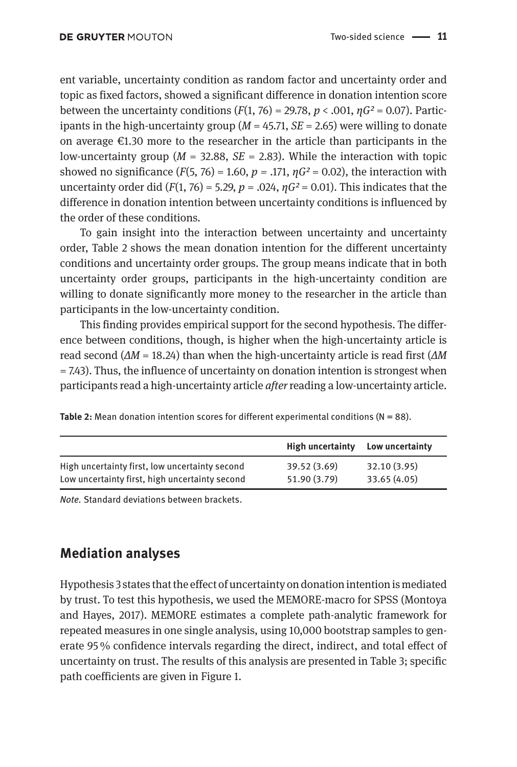ent variable, uncertainty condition as random factor and uncertainty order and topic as fixed factors, showed a significant difference in donation intention score between the uncertainty conditions  $(F(1, 76) = 29.78, p < .001, \eta G^2 = 0.07)$ . Participants in the high-uncertainty group (*M* = 45.71, *SE* = 2.65) were willing to donate on average  $\epsilon$ 1.30 more to the researcher in the article than participants in the low-uncertainty group ( $M = 32.88$ ,  $SE = 2.83$ ). While the interaction with topic showed no significance  $(F(5, 76) = 1.60, p = .171, \eta G^2 = 0.02)$ , the interaction with uncertainty order did  $(F(1, 76) = 5.29, p = .024, \eta G^2 = 0.01)$ . This indicates that the difference in donation intention between uncertainty conditions is influenced by the order of these conditions.

To gain insight into the interaction between uncertainty and uncertainty order, Table 2 shows the mean donation intention for the different uncertainty conditions and uncertainty order groups. The group means indicate that in both uncertainty order groups, participants in the high-uncertainty condition are willing to donate significantly more money to the researcher in the article than participants in the low-uncertainty condition.

This finding provides empirical support for the second hypothesis. The difference between conditions, though, is higher when the high-uncertainty article is read second (*ΔM* = 18.24) than when the high-uncertainty article is read first (*ΔM*  = 7.43). Thus, the influence of uncertainty on donation intention is strongest when participants read a high-uncertainty article *after* reading a low-uncertainty article.

**Table 2:** Mean donation intention scores for different experimental conditions ( $N = 88$ ).

|                                                | High uncertainty | Low uncertainty |
|------------------------------------------------|------------------|-----------------|
| High uncertainty first, low uncertainty second | 39.52 (3.69)     | 32.10 (3.95)    |
| Low uncertainty first, high uncertainty second | 51.90 (3.79)     | 33.65 (4.05)    |

*Note.* Standard deviations between brackets.

### **Mediation analyses**

Hypothesis 3 states that the effect of uncertainty on donation intention is mediated by trust. To test this hypothesis, we used the MEMORE-macro for SPSS (Montoya and Hayes, 2017). MEMORE estimates a complete path-analytic framework for repeated measures in one single analysis, using 10,000 bootstrap samples to generate 95 % confidence intervals regarding the direct, indirect, and total effect of uncertainty on trust. The results of this analysis are presented in Table 3; specific path coefficients are given in Figure 1.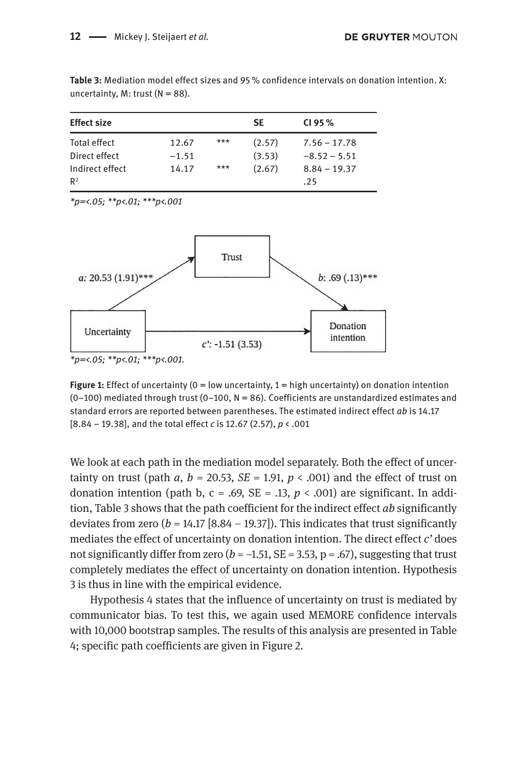**Table 3:** Mediation model effect sizes and 95 % confidence intervals on donation intention. X: uncertainty, M: trust  $(N = 88)$ .

| <b>Effect size</b> |         |       | <b>SE</b> | CI95%          |
|--------------------|---------|-------|-----------|----------------|
| Total effect       | 12.67   | $***$ | (2.57)    | $7.56 - 17.78$ |
| Direct effect      | $-1.51$ |       | (3.53)    | $-8.52 - 5.51$ |
| Indirect effect    | 14.17   | $***$ | (2.67)    | $8.84 - 19.37$ |
| R <sup>2</sup>     |         |       |           | .25            |

*\*p=<.05; \*\*p<.01; \*\*\*p<.001*



**Figure 1:** Effect of uncertainty ( $0 =$  low uncertainty,  $1 =$  high uncertainty) on donation intention  $(0-100)$  mediated through trust  $(0-100, N = 86)$ . Coefficients are unstandardized estimates and standard errors are reported between parentheses. The estimated indirect effect *ab* is 14.17 [8.84 – 19.38], and the total effect *c* is 12.67 (2.57), *p* < .001

We look at each path in the mediation model separately. Both the effect of uncertainty on trust (path  $a, b = 20.53, SE = 1.91, p < .001$ ) and the effect of trust on donation intention (path b,  $c = .69$ ,  $SE = .13$ ,  $p < .001$ ) are significant. In addition, Table 3 shows that the path coefficient for the indirect effect *ab* significantly deviates from zero  $(b = 14.17 [8.84 - 19.37])$ . This indicates that trust significantly mediates the effect of uncertainty on donation intention. The direct effect *c'* does not significantly differ from zero  $(b = -1.51, SE = 3.53, p = .67)$ , suggesting that trust completely mediates the effect of uncertainty on donation intention. Hypothesis 3 is thus in line with the empirical evidence.

Hypothesis 4 states that the influence of uncertainty on trust is mediated by communicator bias. To test this, we again used MEMORE confidence intervals with 10,000 bootstrap samples. The results of this analysis are presented in Table 4; specific path coefficients are given in Figure 2.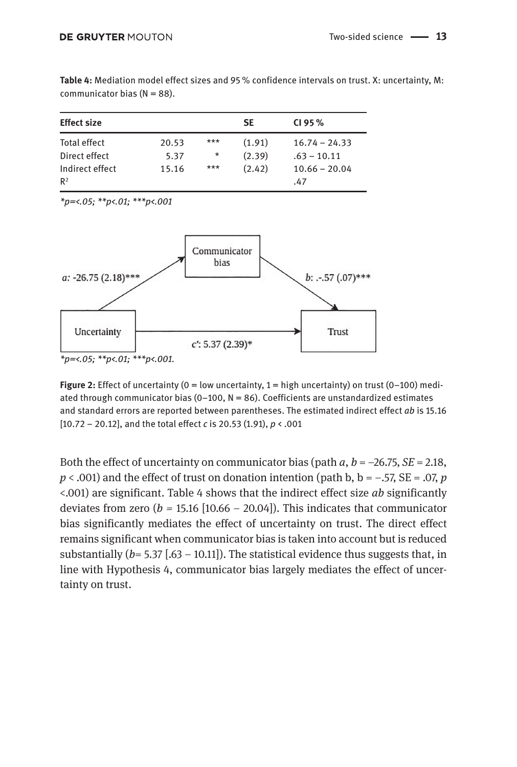| <b>Effect size</b>                |       |          | <b>SE</b> | CI 95 $%$              |
|-----------------------------------|-------|----------|-----------|------------------------|
| Total effect                      | 20.53 | $***$    | (1.91)    | $16.74 - 24.33$        |
| Direct effect                     | 5.37  | $^\star$ | (2.39)    | $.63 - 10.11$          |
| Indirect effect<br>R <sup>2</sup> | 15.16 | $***$    | (2.42)    | $10.66 - 20.04$<br>.47 |

**Table 4:** Mediation model effect sizes and 95 % confidence intervals on trust. X: uncertainty, M: communicator bias  $(N = 88)$ .

*\*p=<.05; \*\*p<.01; \*\*\*p<.001*



**Figure 2:** Effect of uncertainty ( $0 =$  low uncertainty,  $1 =$  high uncertainty) on trust ( $0-100$ ) mediated through communicator bias ( $0-100$ ,  $N = 86$ ). Coefficients are unstandardized estimates and standard errors are reported between parentheses. The estimated indirect effect *ab* is 15.16 [10.72 – 20.12], and the total effect *c* is 20.53 (1.91), *p* < .001

Both the effect of uncertainty on communicator bias (path  $a, b = -26.75, SE = 2.18$ ,  $p < .001$ ) and the effect of trust on donation intention (path b, b =  $-.57$ , SE = .07, *p* <.001) are significant. Table 4 shows that the indirect effect size *ab* significantly deviates from zero ( $b = 15.16$  [10.66 – 20.04]). This indicates that communicator bias significantly mediates the effect of uncertainty on trust. The direct effect remains significant when communicator bias is taken into account but is reduced substantially  $(b= 5.37$  [.63 – 10.11]). The statistical evidence thus suggests that, in line with Hypothesis 4, communicator bias largely mediates the effect of uncertainty on trust.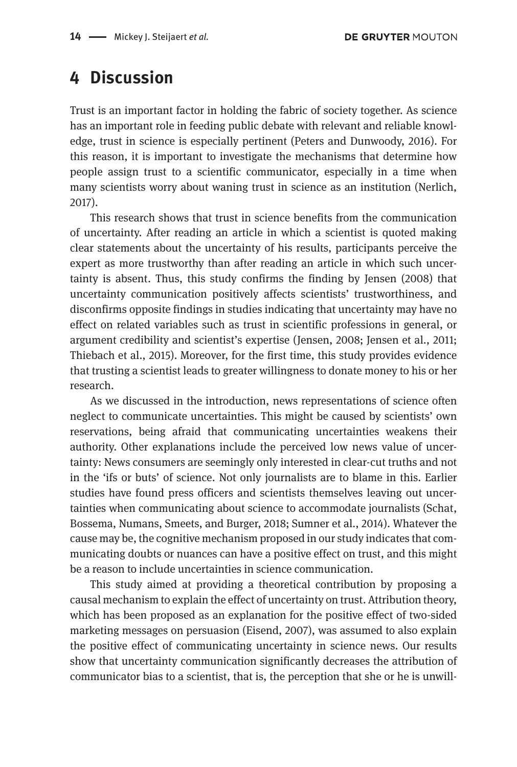### **4 Discussion**

Trust is an important factor in holding the fabric of society together. As science has an important role in feeding public debate with relevant and reliable knowledge, trust in science is especially pertinent (Peters and Dunwoody, 2016). For this reason, it is important to investigate the mechanisms that determine how people assign trust to a scientific communicator, especially in a time when many scientists worry about waning trust in science as an institution (Nerlich, 2017).

This research shows that trust in science benefits from the communication of uncertainty. After reading an article in which a scientist is quoted making clear statements about the uncertainty of his results, participants perceive the expert as more trustworthy than after reading an article in which such uncertainty is absent. Thus, this study confirms the finding by Jensen (2008) that uncertainty communication positively affects scientists' trustworthiness, and disconfirms opposite findings in studies indicating that uncertainty may have no effect on related variables such as trust in scientific professions in general, or argument credibility and scientist's expertise (Jensen, 2008; Jensen et al., 2011; Thiebach et al., 2015). Moreover, for the first time, this study provides evidence that trusting a scientist leads to greater willingness to donate money to his or her research.

As we discussed in the introduction, news representations of science often neglect to communicate uncertainties. This might be caused by scientists' own reservations, being afraid that communicating uncertainties weakens their authority. Other explanations include the perceived low news value of uncertainty: News consumers are seemingly only interested in clear-cut truths and not in the 'ifs or buts' of science. Not only journalists are to blame in this. Earlier studies have found press officers and scientists themselves leaving out uncertainties when communicating about science to accommodate journalists (Schat, Bossema, Numans, Smeets, and Burger, 2018; Sumner et al., 2014). Whatever the cause may be, the cognitive mechanism proposed in our study indicates that communicating doubts or nuances can have a positive effect on trust, and this might be a reason to include uncertainties in science communication.

This study aimed at providing a theoretical contribution by proposing a causal mechanism to explain the effect of uncertainty on trust. Attribution theory, which has been proposed as an explanation for the positive effect of two-sided marketing messages on persuasion (Eisend, 2007), was assumed to also explain the positive effect of communicating uncertainty in science news. Our results show that uncertainty communication significantly decreases the attribution of communicator bias to a scientist, that is, the perception that she or he is unwill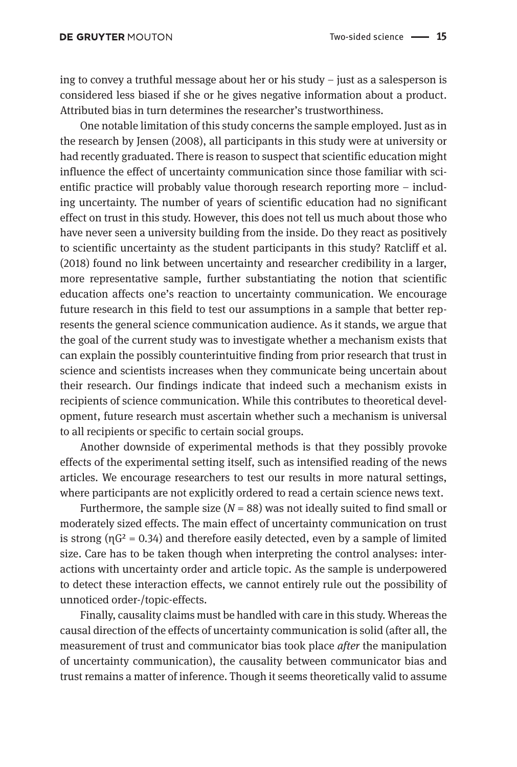ing to convey a truthful message about her or his study – just as a salesperson is considered less biased if she or he gives negative information about a product. Attributed bias in turn determines the researcher's trustworthiness.

One notable limitation of this study concerns the sample employed. Just as in the research by Jensen (2008), all participants in this study were at university or had recently graduated. There is reason to suspect that scientific education might influence the effect of uncertainty communication since those familiar with scientific practice will probably value thorough research reporting more – including uncertainty. The number of years of scientific education had no significant effect on trust in this study. However, this does not tell us much about those who have never seen a university building from the inside. Do they react as positively to scientific uncertainty as the student participants in this study? Ratcliff et al. (2018) found no link between uncertainty and researcher credibility in a larger, more representative sample, further substantiating the notion that scientific education affects one's reaction to uncertainty communication. We encourage future research in this field to test our assumptions in a sample that better represents the general science communication audience. As it stands, we argue that the goal of the current study was to investigate whether a mechanism exists that can explain the possibly counterintuitive finding from prior research that trust in science and scientists increases when they communicate being uncertain about their research. Our findings indicate that indeed such a mechanism exists in recipients of science communication. While this contributes to theoretical development, future research must ascertain whether such a mechanism is universal to all recipients or specific to certain social groups.

Another downside of experimental methods is that they possibly provoke effects of the experimental setting itself, such as intensified reading of the news articles. We encourage researchers to test our results in more natural settings, where participants are not explicitly ordered to read a certain science news text.

Furthermore, the sample size  $(N = 88)$  was not ideally suited to find small or moderately sized effects. The main effect of uncertainty communication on trust is strong  $(\eta G^2 = 0.34)$  and therefore easily detected, even by a sample of limited size. Care has to be taken though when interpreting the control analyses: interactions with uncertainty order and article topic. As the sample is underpowered to detect these interaction effects, we cannot entirely rule out the possibility of unnoticed order-/topic-effects.

Finally, causality claims must be handled with care in this study. Whereas the causal direction of the effects of uncertainty communication is solid (after all, the measurement of trust and communicator bias took place *after* the manipulation of uncertainty communication), the causality between communicator bias and trust remains a matter of inference. Though it seems theoretically valid to assume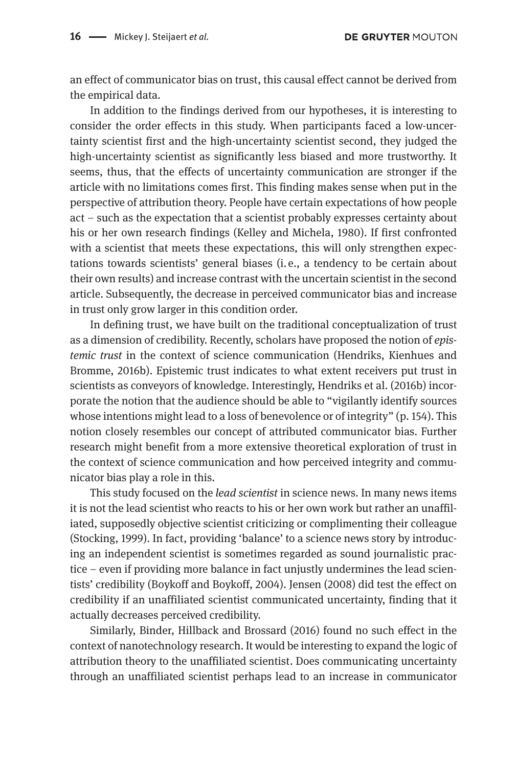an effect of communicator bias on trust, this causal effect cannot be derived from the empirical data.

In addition to the findings derived from our hypotheses, it is interesting to consider the order effects in this study. When participants faced a low-uncertainty scientist first and the high-uncertainty scientist second, they judged the high-uncertainty scientist as significantly less biased and more trustworthy. It seems, thus, that the effects of uncertainty communication are stronger if the article with no limitations comes first. This finding makes sense when put in the perspective of attribution theory. People have certain expectations of how people act – such as the expectation that a scientist probably expresses certainty about his or her own research findings (Kelley and Michela, 1980). If first confronted with a scientist that meets these expectations, this will only strengthen expectations towards scientists' general biases (i. e., a tendency to be certain about their own results) and increase contrast with the uncertain scientist in the second article. Subsequently, the decrease in perceived communicator bias and increase in trust only grow larger in this condition order.

In defining trust, we have built on the traditional conceptualization of trust as a dimension of credibility. Recently, scholars have proposed the notion of *epistemic trust* in the context of science communication (Hendriks, Kienhues and Bromme, 2016b). Epistemic trust indicates to what extent receivers put trust in scientists as conveyors of knowledge. Interestingly, Hendriks et al. (2016b) incorporate the notion that the audience should be able to "vigilantly identify sources whose intentions might lead to a loss of benevolence or of integrity" (p. 154). This notion closely resembles our concept of attributed communicator bias. Further research might benefit from a more extensive theoretical exploration of trust in the context of science communication and how perceived integrity and communicator bias play a role in this.

This study focused on the *lead scientist* in science news. In many news items it is not the lead scientist who reacts to his or her own work but rather an unaffiliated, supposedly objective scientist criticizing or complimenting their colleague (Stocking, 1999). In fact, providing 'balance' to a science news story by introducing an independent scientist is sometimes regarded as sound journalistic practice – even if providing more balance in fact unjustly undermines the lead scientists' credibility (Boykoff and Boykoff, 2004). Jensen (2008) did test the effect on credibility if an unaffiliated scientist communicated uncertainty, finding that it actually decreases perceived credibility.

Similarly, Binder, Hillback and Brossard (2016) found no such effect in the context of nanotechnology research. It would be interesting to expand the logic of attribution theory to the unaffiliated scientist. Does communicating uncertainty through an unaffiliated scientist perhaps lead to an increase in communicator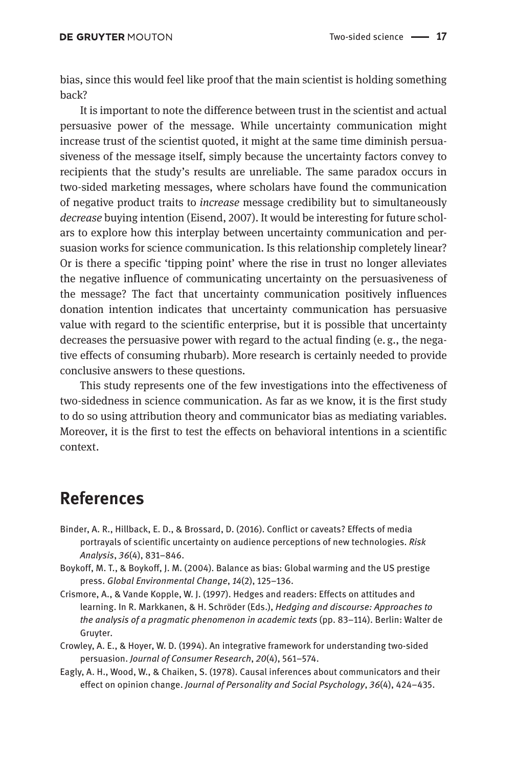bias, since this would feel like proof that the main scientist is holding something back?

It is important to note the difference between trust in the scientist and actual persuasive power of the message. While uncertainty communication might increase trust of the scientist quoted, it might at the same time diminish persuasiveness of the message itself, simply because the uncertainty factors convey to recipients that the study's results are unreliable. The same paradox occurs in two-sided marketing messages, where scholars have found the communication of negative product traits to *increase* message credibility but to simultaneously *decrease* buying intention (Eisend, 2007). It would be interesting for future scholars to explore how this interplay between uncertainty communication and persuasion works for science communication. Is this relationship completely linear? Or is there a specific 'tipping point' where the rise in trust no longer alleviates the negative influence of communicating uncertainty on the persuasiveness of the message? The fact that uncertainty communication positively influences donation intention indicates that uncertainty communication has persuasive value with regard to the scientific enterprise, but it is possible that uncertainty decreases the persuasive power with regard to the actual finding (e. g., the negative effects of consuming rhubarb). More research is certainly needed to provide conclusive answers to these questions.

This study represents one of the few investigations into the effectiveness of two-sidedness in science communication. As far as we know, it is the first study to do so using attribution theory and communicator bias as mediating variables. Moreover, it is the first to test the effects on behavioral intentions in a scientific context.

### **References**

- Binder, A. R., Hillback, E. D., & Brossard, D. (2016). Conflict or caveats? Effects of media portrayals of scientific uncertainty on audience perceptions of new technologies. *Risk Analysis*, *36*(4), 831–846.
- Boykoff, M. T., & Boykoff, J. M. (2004). Balance as bias: Global warming and the US prestige press. *Global Environmental Change*, *14*(2), 125–136.
- Crismore, A., & Vande Kopple, W. J. (1997). Hedges and readers: Effects on attitudes and learning. In R. Markkanen, & H. Schröder (Eds.), *Hedging and discourse: Approaches to the analysis of a pragmatic phenomenon in academic texts* (pp. 83–114). Berlin: Walter de Gruyter.
- Crowley, A. E., & Hoyer, W. D. (1994). An integrative framework for understanding two-sided persuasion. *Journal of Consumer Research*, *20*(4), 561–574.
- Eagly, A. H., Wood, W., & Chaiken, S. (1978). Causal inferences about communicators and their effect on opinion change. *Journal of Personality and Social Psychology*, *36*(4), 424–435.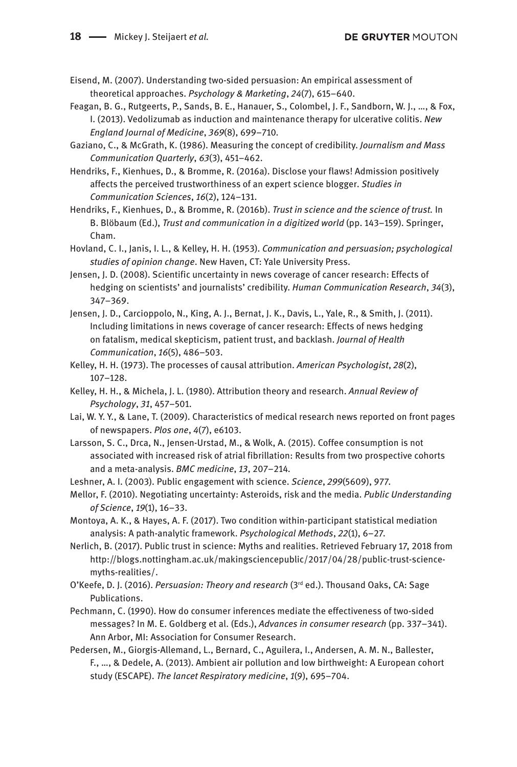Eisend, M. (2007). Understanding two-sided persuasion: An empirical assessment of theoretical approaches. *Psychology & Marketing*, *24*(7), 615–640.

- Feagan, B. G., Rutgeerts, P., Sands, B. E., Hanauer, S., Colombel, J. F., Sandborn, W. J., …, & Fox, I. (2013). Vedolizumab as induction and maintenance therapy for ulcerative colitis. *New England Journal of Medicine*, *369*(8), 699–710*.*
- Gaziano, C., & McGrath, K. (1986). Measuring the concept of credibility. *Journalism and Mass Communication Quarterly*, *63*(3), 451–462.
- Hendriks, F., Kienhues, D., & Bromme, R. (2016a). Disclose your flaws! Admission positively affects the perceived trustworthiness of an expert science blogger. *Studies in Communication Sciences*, *16*(2), 124–131.
- Hendriks, F., Kienhues, D., & Bromme, R. (2016b). *Trust in science and the science of trust.* In B. Blöbaum (Ed.), *Trust and communication in a digitized world* (pp. 143–159). Springer, Cham.
- Hovland, C. I., Janis, I. L., & Kelley, H. H. (1953). *Communication and persuasion; psychological studies of opinion change*. New Haven, CT: Yale University Press.
- Jensen, J. D. (2008). Scientific uncertainty in news coverage of cancer research: Effects of hedging on scientists' and journalists' credibility. *Human Communication Research*, *34*(3), 347–369.
- Jensen, J. D., Carcioppolo, N., King, A. J., Bernat, J. K., Davis, L., Yale, R., & Smith, J. (2011). Including limitations in news coverage of cancer research: Effects of news hedging on fatalism, medical skepticism, patient trust, and backlash. *Journal of Health Communication*, *16*(5), 486–503.
- Kelley, H. H. (1973). The processes of causal attribution. *American Psychologist*, *28*(2), 107–128.
- Kelley, H. H., & Michela, J. L. (1980). Attribution theory and research. *Annual Review of Psychology*, *31*, 457–501.
- Lai, W. Y. Y., & Lane, T. (2009). Characteristics of medical research news reported on front pages of newspapers. *Plos one*, *4*(7), e6103.
- Larsson, S. C., Drca, N., Jensen-Urstad, M., & Wolk, A. (2015). Coffee consumption is not associated with increased risk of atrial fibrillation: Results from two prospective cohorts and a meta-analysis. *BMC medicine*, *13*, 207–214*.*
- Leshner, A. I. (2003). Public engagement with science. *Science*, *299*(5609), 977.
- Mellor, F. (2010). Negotiating uncertainty: Asteroids, risk and the media. *Public Understanding of Science*, *19*(1), 16–33.
- Montoya, A. K., & Hayes, A. F. (2017). Two condition within-participant statistical mediation analysis: A path-analytic framework. *Psychological Methods*, *22*(1), 6–27.
- Nerlich, B. (2017). Public trust in science: Myths and realities. Retrieved February 17, 2018 from [http://blogs.nottingham.ac.uk/makingsciencepublic/2017/04/28/public-trust-science](http://blogs.nottingham.ac.uk/makingsciencepublic/2017/04/28/public-trust-science-myths-realities)[myths-realities](http://blogs.nottingham.ac.uk/makingsciencepublic/2017/04/28/public-trust-science-myths-realities)/.
- O'Keefe, D. J. (2016). *Persuasion: Theory and research* (3rd ed.). Thousand Oaks, CA: Sage Publications.
- Pechmann, C. (1990). How do consumer inferences mediate the effectiveness of two-sided messages? In M. E. Goldberg et al. (Eds.), *Advances in consumer research* (pp. 337–341). Ann Arbor, MI: Association for Consumer Research.
- Pedersen, M., Giorgis-Allemand, L., Bernard, C., Aguilera, I., Andersen, A. M. N., Ballester, F., …, & Dedele, A. (2013). Ambient air pollution and low birthweight: A European cohort study (ESCAPE). *The lancet Respiratory medicine*, *1*(9), 695–704.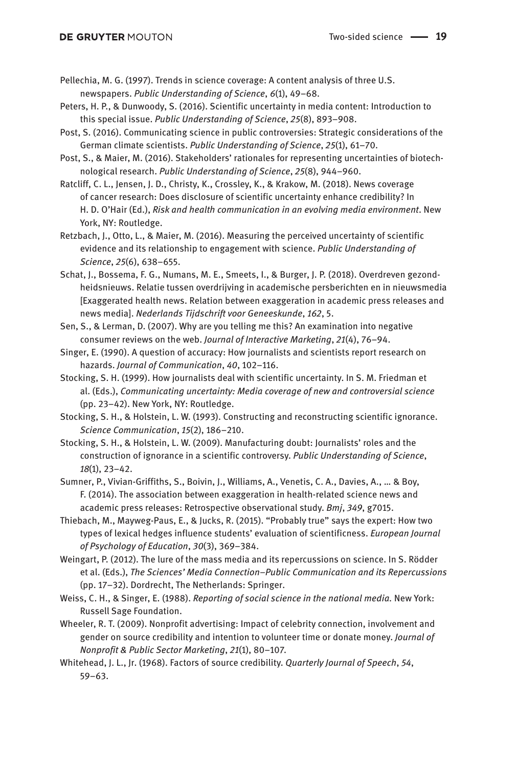Pellechia, M. G. (1997). Trends in science coverage: A content analysis of three U.S. newspapers. *Public Understanding of Science*, *6*(1), 49–68.

- Peters, H. P., & Dunwoody, S. (2016). Scientific uncertainty in media content: Introduction to this special issue. *Public Understanding of Science*, *25*(8), 893–908.
- Post, S. (2016). Communicating science in public controversies: Strategic considerations of the German climate scientists. *Public Understanding of Science*, *25*(1), 61–70.
- Post, S., & Maier, M. (2016). Stakeholders' rationales for representing uncertainties of biotechnological research. *Public Understanding of Science*, *25*(8), 944–960.
- Ratcliff, C. L., Jensen, J. D., Christy, K., Crossley, K., & Krakow, M. (2018). News coverage of cancer research: Does disclosure of scientific uncertainty enhance credibility? In H. D. O'Hair (Ed.), *Risk and health communication in an evolving media environment*. New York, NY: Routledge.

Retzbach, J., Otto, L., & Maier, M. (2016). Measuring the perceived uncertainty of scientific evidence and its relationship to engagement with science. *Public Understanding of Science*, *25*(6), 638–655.

- Schat, J., Bossema, F. G., Numans, M. E., Smeets, I., & Burger, J. P. (2018). Overdreven gezondheidsnieuws. Relatie tussen overdrijving in academische persberichten en in nieuwsmedia [Exaggerated health news. Relation between exaggeration in academic press releases and news media]. *Nederlands Tijdschrift voor Geneeskunde*, *162*, 5.
- Sen, S., & Lerman, D. (2007). Why are you telling me this? An examination into negative consumer reviews on the web. *Journal of Interactive Marketing*, *21*(4), 76–94.
- Singer, E. (1990). A question of accuracy: How journalists and scientists report research on hazards. *Journal of Communication*, *40*, 102–116.
- Stocking, S. H. (1999). How journalists deal with scientific uncertainty. In S. M. Friedman et al. (Eds.), *Communicating uncertainty: Media coverage of new and controversial science*  (pp. 23–42). New York, NY: Routledge.
- Stocking, S. H., & Holstein, L. W. (1993). Constructing and reconstructing scientific ignorance. *Science Communication*, *15*(2), 186–210.
- Stocking, S. H., & Holstein, L. W. (2009). Manufacturing doubt: Journalists' roles and the construction of ignorance in a scientific controversy. *Public Understanding of Science*, *18*(1), 23–42.
- Sumner, P., Vivian-Griffiths, S., Boivin, J., Williams, A., Venetis, C. A., Davies, A., … & Boy, F. (2014). The association between exaggeration in health-related science news and academic press releases: Retrospective observational study. *Bmj*, *349*, g7015.
- Thiebach, M., Mayweg-Paus, E., & Jucks, R. (2015). "Probably true" says the expert: How two types of lexical hedges influence students' evaluation of scientificness. *European Journal of Psychology of Education*, *30*(3), 369–384.
- Weingart, P. (2012). The lure of the mass media and its repercussions on science. In S. Rödder et al. (Eds.), *The Sciences' Media Connection–Public Communication and its Repercussions*  (pp. 17–32). Dordrecht, The Netherlands: Springer.
- Weiss, C. H., & Singer, E. (1988). *Reporting of social science in the national media.* New York: Russell Sage Foundation.
- Wheeler, R. T. (2009). Nonprofit advertising: Impact of celebrity connection, involvement and gender on source credibility and intention to volunteer time or donate money. *Journal of Nonprofit & Public Sector Marketing*, *21*(1), 80–107.
- Whitehead, J. L., Jr. (1968). Factors of source credibility. *Quarterly Journal of Speech*, *54*, 59–63.